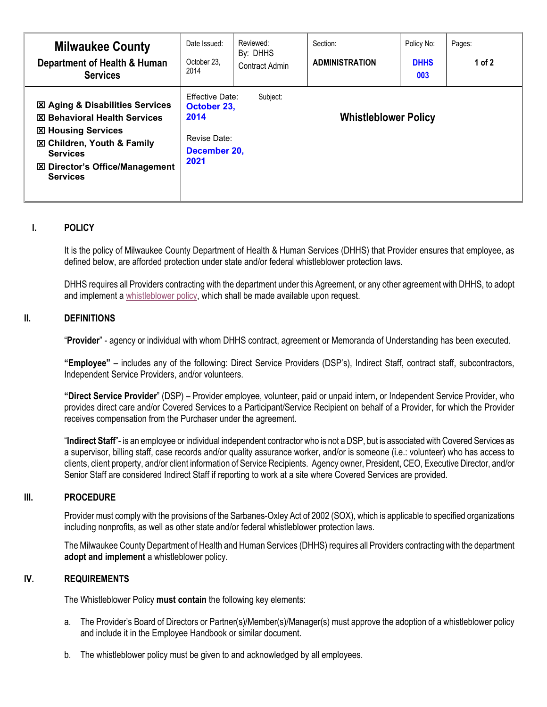| <b>Milwaukee County</b><br>Department of Health & Human<br><b>Services</b>                                                                                                                                                             | Date Issued:<br>October 23.<br>2014                                                   | Reviewed:<br>By: DHHS<br>Contract Admin | Section:<br><b>ADMINISTRATION</b> | Policy No:<br><b>DHHS</b><br>003 | Pages:<br>1 of $2$ |
|----------------------------------------------------------------------------------------------------------------------------------------------------------------------------------------------------------------------------------------|---------------------------------------------------------------------------------------|-----------------------------------------|-----------------------------------|----------------------------------|--------------------|
| <b>⊠ Aging &amp; Disabilities Services</b><br><b>区 Behavioral Health Services</b><br><b>図 Housing Services</b><br><b>図 Children, Youth &amp; Family</b><br><b>Services</b><br><b>図 Director's Office/Management</b><br><b>Services</b> | <b>Effective Date:</b><br>October 23,<br>2014<br>Revise Date:<br>December 20,<br>2021 | Subject:                                | <b>Whistleblower Policy</b>       |                                  |                    |

## **I. POLICY**

It is the policy of Milwaukee County Department of Health & Human Services (DHHS) that Provider ensures that employee, as defined below, are afforded protection under state and/or federal whistleblower protection laws.

DHHS requires all Providers contracting with the department under this Agreement, or any other agreement with DHHS, to adopt and implement a [whistleblower policy,](https://county.milwaukee.gov/EN/DHHS/Provider-Portal) which shall be made available upon request.

## **II. DEFINITIONS**

"**Provider**" - agency or individual with whom DHHS contract, agreement or Memoranda of Understanding has been executed.

**"Employee"** – includes any of the following: Direct Service Providers (DSP's), Indirect Staff, contract staff, subcontractors, Independent Service Providers, and/or volunteers.

**"Direct Service Provider**" (DSP) – Provider employee, volunteer, paid or unpaid intern, or Independent Service Provider, who provides direct care and/or Covered Services to a Participant/Service Recipient on behalf of a Provider, for which the Provider receives compensation from the Purchaser under the agreement.

"**Indirect Staff**"- is an employee or individual independent contractor who is not a DSP, but is associated with Covered Services as a supervisor, billing staff, case records and/or quality assurance worker, and/or is someone (i.e.: volunteer) who has access to clients, client property, and/or client information of Service Recipients. Agency owner, President, CEO, Executive Director, and/or Senior Staff are considered Indirect Staff if reporting to work at a site where Covered Services are provided.

## **III. PROCEDURE**

Provider must comply with the provisions of the Sarbanes-Oxley Act of 2002 (SOX), which is applicable to specified organizations including nonprofits, as well as other state and/or federal whistleblower protection laws.

The Milwaukee County Department of Health and Human Services (DHHS) requires all Providers contracting with the department **adopt and implement** a [whistleblower policy.](http://www.blueavocado.org/content/model-whistleblower-policy-nonprofits)

## **IV. REQUIREMENTS**

The Whistleblower Policy **must contain** the following key elements:

- a. The Provider's Board of Directors or Partner(s)/Member(s)/Manager(s) must approve the adoption of a whistleblower policy and include it in the Employee Handbook or similar document.
- b. The whistleblower policy must be given to and acknowledged by all employees.